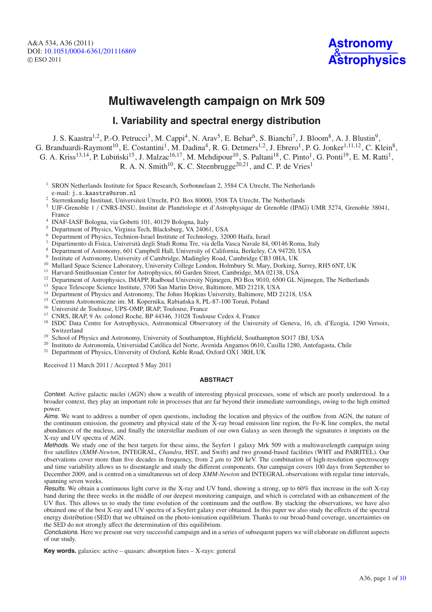A&A 534, A36 (2011) DOI: 10.1051/0004-6361/[201116869](http://dx.doi.org/10.1051/0004-6361/201116869) © ESO 2011



# **Multiwavelength campaign on Mrk 509**

## **I. Variability and spectral energy distribution**

J. S. Kaastra<sup>1,2</sup>, P.-O. Petrucci<sup>3</sup>, M. Cappi<sup>4</sup>, N. Arav<sup>5</sup>, E. Behar<sup>6</sup>, S. Bianchi<sup>7</sup>, J. Bloom<sup>8</sup>, A. J. Blustin<sup>9</sup>, G. Branduardi-Raymont<sup>10</sup>, E. Costantini<sup>1</sup>, M. Dadina<sup>4</sup>, R. G. Detmers<sup>1,2</sup>, J. Ebrero<sup>1</sup>, P. G. Jonker<sup>1,11,12</sup>, C. Klein<sup>8</sup>, G. A. Kriss<sup>13,14</sup>, P. Lubiński<sup>15</sup>, J. Malzac<sup>16,17</sup>, M. Mehdipour<sup>10</sup>, S. Paltani<sup>18</sup>, C. Pinto<sup>1</sup>, G. Ponti<sup>19</sup>, E. M. Ratti<sup>1</sup>, R. A. N. Smith<sup>10</sup>, K. C. Steenbrugge<sup>20,21</sup>, and C. P. de Vries<sup>1</sup>

<sup>1</sup> SRON Netherlands Institute for Space Research, Sorbonnelaan 2, 3584 CA Utrecht, The Netherlands

e-mail: j.s.kaastra@sron.nl <sup>2</sup> Sterrenkundig Instituut, Universiteit Utrecht, P.O. Box 80000, 3508 TA Utrecht, The Netherlands

<sup>3</sup> UJF-Grenoble 1 / CNRS-INSU, Institut de Planétologie et d'Astrophysique de Grenoble (IPAG) UMR 5274, Grenoble 38041, France

<sup>4</sup> INAF-IASF Bologna, via Gobetti 101, 40129 Bologna, Italy

<sup>5</sup> Department of Physics, Virginia Tech, Blacksburg, VA 24061, USA

<sup>6</sup> Department of Physics, Technion-Israel Institute of Technology, 32000 Haifa, Israel

<sup>7</sup> Dipartimento di Fisica, Università degli Studi Roma Tre, via della Vasca Navale 84, 00146 Roma, Italy

- <sup>8</sup> Department of Astronomy, 601 Campbell Hall, University of California, Berkeley, CA 94720, USA
- Institute of Astronomy, University of Cambridge, Madingley Road, Cambridge CB3 0HA, UK
- <sup>10</sup> Mullard Space Science Laboratory, University College London, Holmbury St. Mary, Dorking, Surrey, RH5 6NT, UK
- <sup>11</sup> Harvard-Smithsonian Center for Astrophysics, 60 Garden Street, Cambridge, MA 02138, USA
- <sup>12</sup> Department of Astrophysics, IMAPP, Radboud University Nijmegen, PO Box 9010, 6500 GL Nijmegen, The Netherlands
- <sup>13</sup> Space Telescope Science Institute, 3700 San Martin Drive, Baltimore, MD 21218, USA
- <sup>14</sup> Department of Physics and Astronomy, The Johns Hopkins University, Baltimore, MD 21218, USA
- <sup>15</sup> Centrum Astronomiczne im. M. Kopernika, Rabiańska 8, PL-87-100 Toruń, Poland
- <sup>16</sup> Université de Toulouse, UPS-OMP, IRAP, Toulouse, France
- <sup>17</sup> CNRS, IRAP, 9 Av. colonel Roche, BP 44346, 31028 Toulouse Cedex 4, France
- <sup>18</sup> ISDC Data Centre for Astrophysics, Astronomical Observatory of the University of Geneva, 16, ch. d'Ecogia, 1290 Versoix, Switzerland
- <sup>19</sup> School of Physics and Astronomy, University of Southampton, Highfield, Southampton SO17 1BJ, USA
- <sup>20</sup> Instituto de Astronomía, Universidad Católica del Norte, Avenida Angamos 0610, Casilla 1280, Antofagasta, Chile
- <sup>21</sup> Department of Physics, University of Oxford, Keble Road, Oxford OX1 3RH, UK

Received 11 March 2011 / Accepted 5 May 2011

## **ABSTRACT**

Context. Active galactic nuclei (AGN) show a wealth of interesting physical processes, some of which are poorly understood. In a broader context, they play an important role in processes that are far beyond their immediate surroundings, owing to the high emitted power.

Aims. We want to address a number of open questions, including the location and physics of the outflow from AGN, the nature of the continuum emission, the geometry and physical state of the X-ray broad emission line region, the Fe-K line complex, the metal abundances of the nucleus, and finally the interstellar medium of our own Galaxy as seen through the signatures it imprints on the X-ray and UV spectra of AGN.

Methods. We study one of the best targets for these aims, the Seyfert 1 galaxy Mrk 509 with a multiwavelength campaign using five satellites (*XMM-Newton*, INTEGRAL, *Chandra*, HST, and Swift) and two ground-based facilities (WHT and PAIRITEL). Our observations cover more than five decades in frequency, from  $2 \mu m$  to  $200 \text{ keV}$ . The combination of high-resolution spectroscopy and time variability allows us to disentangle and study the different components. Our campaign covers 100 days from September to December 2009, and is centred on a simultaneous set of deep *XMM-Newton* and INTEGRAL observations with regular time intervals, spanning seven weeks.

Results. We obtain a continuous light curve in the X-ray and UV band, showing a strong, up to 60% flux increase in the soft X-ray band during the three weeks in the middle of our deepest monitoring campaign, and which is correlated with an enhancement of the UV flux. This allows us to study the time evolution of the continuum and the outflow. By stacking the observations, we have also obtained one of the best X-ray and UV spectra of a Seyfert galaxy ever obtained. In this paper we also study the effects of the spectral energy distribution (SED) that we obtained on the photo-ionisation equilibrium. Thanks to our broad-band coverage, uncertainties on the SED do not strongly affect the determination of this equilibrium.

Conclusions. Here we present our very successful campaign and in a series of subsequent papers we will elaborate on different aspects of our study.

**Key words.** galaxies: active – quasars: absorption lines – X-rays: general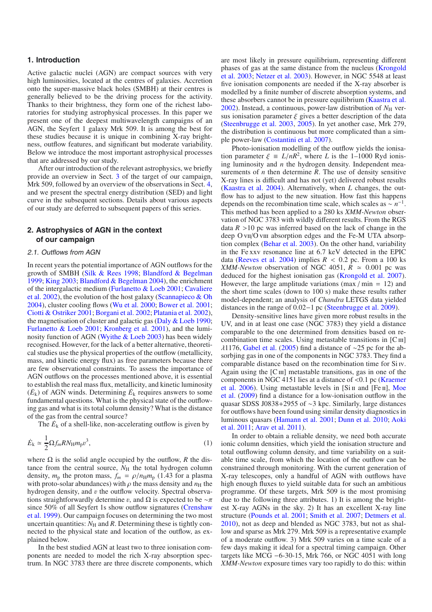## **1. Introduction**

Active galactic nuclei (AGN) are compact sources with very high luminosities, located at the centres of galaxies. Accretion onto the super-massive black holes (SMBH) at their centres is generally believed to be the driving process for the activity. Thanks to their brightness, they form one of the richest laboratories for studying astrophysical processes. In this paper we present one of the deepest multiwavelength campaigns of an AGN, the Seyfert 1 galaxy Mrk 509. It is among the best for these studies because it is unique in combining X-ray brightness, outflow features, and significant but moderate variability. Below we introduce the most important astrophysical processes that are addressed by our study.

After our introduction of the relevant astrophysics, we briefly provide an overview in Sect. [3](#page-3-0) of the target of our campaign, Mrk 509, followed by an overview of the observations in Sect. [4,](#page-4-0) and we present the spectral energy distribution (SED) and light curve in the subsequent sections. Details about various aspects of our study are deferred to subsequent papers of this series.

## **2. Astrophysics of AGN in the context of our campaign**

#### 2.1. Outflows from AGN

In recent years the potential importance of AGN outflows for the growth of SMBH [\(Silk & Rees 1998;](#page-9-1) [Blandford & Begelman](#page-8-0) [1999;](#page-8-0) [King 2003](#page-9-2); [Blandford & Begelman 2004](#page-8-1)), the enrichment of th[e](#page-8-3) [intergalactic](#page-8-3) [medium](#page-8-3) [\(Furlanetto & Loeb 2001](#page-8-2)[;](#page-8-3) Cavaliere et al. [2002](#page-8-3)), the evolution of the host galaxy [\(Scannapieco & Oh](#page-9-3) [2004\)](#page-9-3), cluster cooling flows [\(Wu et al. 2000;](#page-9-4) [Bower et al. 2001;](#page-8-4) [Ciotti & Ostriker 2001](#page-8-5); [Borgani et al. 2002;](#page-8-6) [Platania et al. 2002\)](#page-9-5), the magnetisation of cluster and galactic gas [\(Daly & Loeb 1990;](#page-8-7) [Furlanetto & Loeb 2001](#page-8-2); [Kronberg et al. 2001](#page-9-6)), and the luminosity function of AGN [\(Wyithe & Loeb 2003\)](#page-9-7) has been widely recognised. However, for the lack of a better alternative, theoretical studies use the physical properties of the outflow (metallicity, mass, and kinetic energy flux) as free parameters because there are few observational constraints. To assess the importance of AGN outflows on the processes mentioned above, it is essential to establish the real mass flux, metallicity, and kinetic luminosity  $(\dot{E}_{k})$  of AGN winds. Determining  $\dot{E}_{k}$  requires answers to some fundamental questions. What is the physical state of the outflowing gas and what is its total column density? What is the distance of the gas from the central source?

The  $\dot{E}_k$  of a shell-like, non-accelerating outflow is given by

$$
\dot{E}_{\mathbf{k}} \simeq \frac{1}{2} \Omega f_m R N_{\mathrm{H}} m_{\mathrm{p}} v^3,\tag{1}
$$

where  $\Omega$  is the solid angle occupied by the outflow, *R* the distance from the central source,  $N<sub>H</sub>$  the total hydrogen column density,  $m_p$  the proton mass,  $f_m = \rho/n_H m_p$  (1.43 for a plasma with proto-solar abundances) with  $\rho$  the mass density and  $n_H$  the hydrogen density, and v the outflow velocity. Spectral observations straightforwardly determine v, and  $\Omega$  is expected to be  $\neg \pi$ sinc[e](#page-8-8) [50%](#page-8-8) [of](#page-8-8) [all](#page-8-8) [Seyfert](#page-8-8) [1s](#page-8-8) [show](#page-8-8) [outflow](#page-8-8) [signatures](#page-8-8) [\(](#page-8-8)Crenshaw et al. [1999](#page-8-8)). Our campaign focuses on determining the two most uncertain quantities:  $N_H$  and *R*. Determining these is tightly connected to the physical state and location of the outflow, as explained below.

In the best studied AGN at least two to three ionisation components are needed to model the rich X-ray absorption spectrum. In NGC 3783 there are three discrete components, which are most likely in pressure equilibrium, representing different phas[es of gas at the same distance from the nucleus \(](#page-9-8)Krongold et al. [2003](#page-9-8); [Netzer et al. 2003\)](#page-9-9). However, in NGC 5548 at least five ionisation components are needed if the X-ray absorber is modelled by a finite number of discrete absorption systems, and these absorbers cannot be in pressure equilibrium [\(Kaastra et al.](#page-8-9)  $2002$ ). Instead, a continuous, power-law distribution of  $N_{\rm H}$  versus ionisation parameter  $\xi$  gives a better description of the data [\(Steenbrugge et al. 2003](#page-9-10), [2005\)](#page-9-11). In yet another case, Mrk 279, the distribution is continuous but more complicated than a simple power-law [\(Costantini et al. 2007](#page-8-10)).

Photo-ionisation modelling of the outflow yields the ionisation parameter  $\xi = L/nR^2$ , where *L* is the 1–1000 Ryd ionising luminosity and *n* the hydrogen density. Independent measurements of *n* then determine *R*. The use of density sensitive X-ray lines is difficult and has not (yet) delivered robust results [\(Kaastra et al. 2004\)](#page-8-11). Alternatively, when *L* changes, the outflow has to adjust to the new situation. How fast this happens depends on the recombination time scale, which scales as <sup>∼</sup> *<sup>n</sup>*−1. This method has been applied to a 280 ks *XMM-Newton* observation of NGC 3783 with wildly different results. From the RGS data  $R > 10$  pc was inferred based on the lack of change in the deep O vII/O vIII absorption edges and the Fe-M UTA absorption complex [\(Behar et al. 2003](#page-8-12)). On the other hand, variability in the Fe xxv resonance line at 6.7 keV detected in the EPIC data [\(Reeves et al. 2004\)](#page-9-12) implies  $R < 0.2$  pc. From a 100 ks *XMM-Newton* observation of NGC 4051,  $\overline{R} \approx 0.001$  pc was deduced for the highest ionisation gas [\(Krongold et al. 2007\)](#page-9-13). However, the large amplitude variations (max / min = 12) and the short time scales (down to 100 s) make these results rather model-dependent; an analysis of *Chandra* LETGS data yielded distances in the range of 0.02−1 pc [\(Steenbrugge et al. 2009\)](#page-9-14).

Density-sensitive lines have given more robust results in the UV, and in at least one case (NGC 3783) they yield a distance comparable to the one determined from densities based on recombination time scales. Using metastable transitions in  $\mathcal{C}$  III] λ1176, [Gabel et al.](#page-8-13) [\(2005\)](#page-8-13) find a distance of <sup>∼</sup>25 pc for the absorbjing gas in one of the components in NGC 3783. They find a comparable distance based on the recombination time for Si iv. Again using the  $[C\,\text{III}]$  metastable transitions, gas in one of the com[ponents](#page-9-15) [in](#page-9-15) [NGC](#page-9-15) [4151](#page-9-15) [lies](#page-9-15) [at](#page-9-15) [a](#page-9-15) [distance](#page-9-15) [of](#page-9-15) <0.1 pc (Kraemer et al[.](#page-9-16)  $2006$ [\).](#page-9-16) [Using](#page-9-16) [metastable](#page-9-16) [levels](#page-9-16) [in](#page-9-16) [\[Si](#page-9-16) II and [Fe II], Moe et al. [\(2009](#page-9-16)) find a distance for a low-ionisation outflow in the quasar SDSS J0838+2955 of ∼3 kpc. Similarly, large distances for outflows have been found using similar density diagnostics in luminous quasars [\(Hamann et al. 2001](#page-8-14); [Dunn et al. 2010;](#page-8-15) Aoki et al. [2011](#page-8-16); [Arav et al. 2011\)](#page-8-17).

In order to obtain a reliable density, we need both accurate ionic column densities, which yield the ionisation structure and total outflowing column density, and time variability on a suitable time scale, from which the location of the outflow can be constrained through monitoring. With the current generation of X-ray telescopes, only a handful of AGN with outflows have high enough fluxes to yield suitable data for such an ambitious programme. Of these targets, Mrk 509 is the most promising due to the following three attributes. 1) It is among the brightest X-ray AGNs in the sky. 2) It has an excellent X-ray line structure [\(Pounds et al. 2001](#page-9-17); [Smith et al. 2007;](#page-9-18) [Detmers et al.](#page-8-18) [2010\)](#page-8-18), not as deep and blended as NGC 3783, but not as shallow and sparse as Mrk 279. Mrk 509 is a representative example of a moderate outflow. 3) Mrk 509 varies on a time scale of a few days making it ideal for a spectral timing campaign. Other targets like MCG −6-30-15, Mrk 766, or NGC 4051 with long *XMM-Newton* exposure times vary too rapidly to do this: within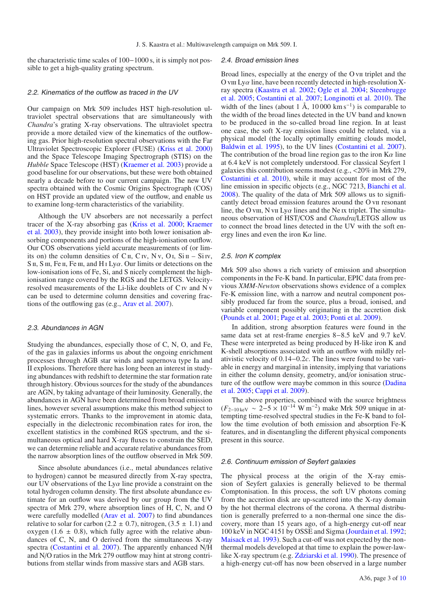the characteristic time scales of 100−1000 s, it is simply not possible to get a high-quality grating spectrum.

## 2.2. Kinematics of the outflow as traced in the UV

Our campaign on Mrk 509 includes HST high-resolution ultraviolet spectral observations that are simultaneously with *Chandra*'s grating X-ray observations. The ultraviolet spectra provide a more detailed view of the kinematics of the outflowing gas. Prior high-resolution spectral observations with the Far Ultraviolet Spectroscopic Explorer (FUSE) [\(Kriss et al. 2000](#page-9-19)) and the Space Telescope Imaging Spectrograph (STIS) on the *Hubble* Space Telescope (HST) [\(Kraemer et al. 2003](#page-9-20)) provide a good baseline for our observations, but these were both obtained nearly a decade before to our current campaign. The new UV spectra obtained with the Cosmic Origins Spectrograph (COS) on HST provide an updated view of the outflow, and enable us to examine long-term characteristics of the variability.

Although the UV absorbers are not necessarily a perfect trace[r](#page-9-20) [of](#page-9-20) [the](#page-9-20) [X-ray](#page-9-20) [absorbing](#page-9-20) [gas](#page-9-20) [\(Kriss et al. 2000](#page-9-19)[;](#page-9-20) Kraemer et al. [2003\)](#page-9-20), they provide insight into both lower ionisation absorbing components and portions of the high-ionisation outflow. Our COS observations yield accurate measurements of (or limits on) the column densities of C<sub>II</sub>, C<sub>IV</sub>, N<sub>V</sub>, O<sub>I</sub>, S<sub>i II</sub> – S<sub>i IV</sub>, S  $\pi$ , S  $\pi$ , Fe  $\pi$ , Fe  $\pi$ , and H  $\pi$  Ly $\alpha$ . Our limits or detections on the low-ionisation ions of Fe, Si, and S nicely complement the highionisation range covered by the RGS and the LETGS. Velocityresolved measurements of the Li-like doublets of C iv and N v can be used to determine column densities and covering fractions of the outflowing gas (e.g., [Arav et al. 2007](#page-8-19)).

#### 2.3. Abundances in AGN

Studying the abundances, especially those of C, N, O, and Fe, of the gas in galaxies informs us about the ongoing enrichment processes through AGB star winds and supernova type Ia and II explosions. Therefore there has long been an interest in studying abundances with redshift to determine the star formation rate through history. Obvious sources for the study of the abundances are AGN, by taking advantage of their luminosity. Generally, the abundances in AGN have been determined from broad emission lines, however several assumptions make this method subject to systematic errors. Thanks to the improvement in atomic data, especially in the dielectronic recombination rates for iron, the excellent statistics in the combined RGS spectrum, and the simultaneous optical and hard X-ray fluxes to constrain the SED, we can determine reliable and accurate relative abundances from the narrow absorption lines of the outflow observed in Mrk 509.

Since absolute abundances (i.e., metal abundances relative to hydrogen) cannot be measured directly from X-ray spectra, our UV observations of the  $Ly\alpha$  line provide a constraint on the total hydrogen column density. The first absolute abundance estimate for an outflow was derived by our group from the UV spectra of Mrk 279, where absorption lines of H, C, N, and O were carefully modelled [\(Arav et al. 2007\)](#page-8-19) to find abundances relative to solar for carbon (2.2  $\pm$  0.7), nitrogen, (3.5  $\pm$  1.1) and oxygen (1.6  $\pm$  0.8), which fully agree with the relative abundances of C, N, and O derived from the simultaneous X-ray spectra [\(Costantini et al. 2007\)](#page-8-10). The apparently enhanced N/H and N/O ratios in the Mrk 279 outflow may hint at strong contributions from stellar winds from massive stars and AGB stars.

### 2.4. Broad emission lines

Broad lines, especially at the energy of the O vii triplet and the O viii Ly $\alpha$  line, have been recently detected in high-resolution Xray [spectra](#page-9-11) [\(Kaastra et al. 2002](#page-8-9)[;](#page-9-11) [Ogle et al. 2004;](#page-9-21) Steenbrugge et al. [2005;](#page-9-11) [Costantini et al. 2007;](#page-8-10) [Longinotti et al. 2010](#page-9-22)). The width of the lines (about 1 Å, 10 000 km s<sup>-1</sup>) is comparable to the width of the broad lines detected in the UV band and known to be produced in the so-called broad line region. In at least one case, the soft X-ray emission lines could be related, via a physical model (the locally optimally emitting clouds model, [Baldwin et al. 1995\)](#page-8-20), to the UV lines [\(Costantini et al. 2007\)](#page-8-10). The contribution of the broad line region gas to the iron  $K\alpha$  line at 6.4 keV is not completely understood. For classical Seyfert 1 galaxies this contribution seems modest (e.g., <20% in Mrk 279, [Costantini et al. 2010](#page-8-21)), while it may account for most of the line emission in specific objects (e.g., NGC 7213, [Bianchi et al.](#page-8-22) [2008\)](#page-8-22). The quality of the data of Mrk 509 allows us to significantly detect broad emission features around the O vii resonant line, the O viii, N vii Ly $\alpha$  lines and the Ne ix triplet. The simultaneous observation of HST/COS and *Chandra*/LETGS allow us to connect the broad lines detected in the UV with the soft energy lines and even the iron  $K\alpha$  line.

#### 2.5. Iron K complex

Mrk 509 also shows a rich variety of emission and absorption components in the Fe-K band. In particular, EPIC data from previous *XMM-Newton* observations shows evidence of a complex Fe-K emission line, with a narrow and neutral component possibly produced far from the source, plus a broad, ionised, and variable component possibly originating in the accretion disk [\(Pounds et al. 2001;](#page-9-17) [Page et al. 2003](#page-9-23); [Ponti et al. 2009\)](#page-9-24).

In addition, strong absorption features were found in the same data set at rest-frame energies 8−8.5 keV and 9.7 keV. These were interpreted as being produced by H-like iron K and K-shell absorptions associated with an outflow with mildly relativistic velocity of 0.14−0.2*c*. The lines were found to be variable in energy and marginal in intensity, implying that variations in either the column density, geometry, and/or ionisation structure [of the outflow were maybe common in this source \(](#page-8-23)Dadina et al. [2005](#page-8-23); [Cappi et al. 2009\)](#page-8-24).

The above properties, combined with the source brightness  $(F_{2-10 \text{ keV}} \sim 2-5 \times 10^{-14} \text{ W m}^{-2})$  make Mrk 509 unique in attempting time-resolved spectral studies in the Fe-K band to follow the time evolution of both emission and absorption Fe-K features, and in disentangling the different physical components present in this source.

#### 2.6. Continuum emission of Seyfert galaxies

The physical process at the origin of the X-ray emission of Seyfert galaxies is generally believed to be thermal Comptonisation. In this process, the soft UV photons coming from the accretion disk are up-scattered into the X-ray domain by the hot thermal electrons of the corona. A thermal distribution is generally preferred to a non-thermal one since the discovery, more than 15 years ago, of a high-energy cut-off near 100 keV in NGC 4151 by OSSE and Sigma [\(Jourdain et al. 1992;](#page-8-25) [Maisack et al. 1993](#page-9-25)). Such a cut-off was not expected by the nonthermal models developed at that time to explain the power-lawlike X-ray spectrum (e.g. [Zdziarski et al. 1990\)](#page-9-26). The presence of a high-energy cut-off has now been observed in a large number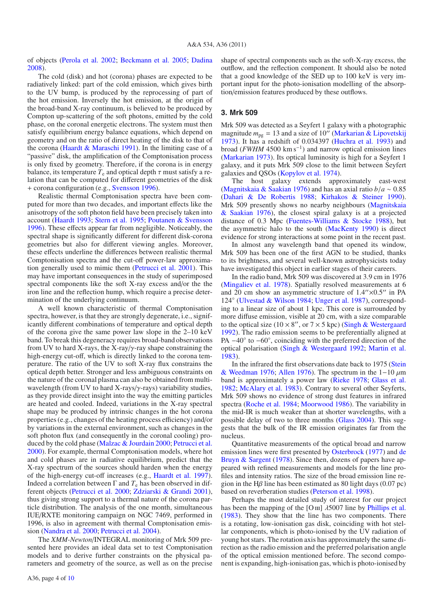of objects [\(Perola et al. 2002](#page-9-27); [Beckmann et al. 2005](#page-8-26); [Dadina](#page-8-27) [2008\)](#page-8-27).

The cold (disk) and hot (corona) phases are expected to be radiatively linked: part of the cold emission, which gives birth to the UV bump, is produced by the reprocessing of part of the hot emission. Inversely the hot emission, at the origin of the broad-band X-ray continuum, is believed to be produced by Compton up-scattering of the soft photons, emitted by the cold phase, on the coronal energetic electrons. The system must then satisfy equilibrium energy balance equations, which depend on geometry and on the ratio of direct heating of the disk to that of the corona (Haardt  $&$  Maraschi 1991). In the limiting case of a "passive" disk, the amplification of the Comptonisation process is only fixed by geometry. Therefore, if the corona is in energy balance, its temperature  $T_e$  and optical depth  $\tau$  must satisfy a relation that can be computed for different geometries of the disk + corona configuration (e.g., [Svensson 1996\)](#page-9-28).

Realistic thermal Comptonisation spectra have been computed for more than two decades, and important effects like the anisotropy of the soft photon field have been precisely taken into account [\(Haardt 1993](#page-8-29); [Stern et al. 1995](#page-9-29); [Poutanen & Svensson](#page-9-30) [1996\)](#page-9-30). These effects appear far from negligible. Noticeably, the spectral shape is significantly different for different disk-corona geometries but also for different viewing angles. Moreover, these effects underline the differences between realistic thermal Comptonisation spectra and the cut-off power-law approximation generally used to mimic them [\(Petrucci et al. 2001\)](#page-9-31). This may have important consequences in the study of superimposed spectral components like the soft X-ray excess and/or the the iron line and the reflection hump, which require a precise determination of the underlying continuum.

A well known characteristic of thermal Comptonisation spectra, however, is that they are strongly degenerate, i.e., significantly different combinations of temperature and optical depth of the corona give the same power law slope in the 2–10 keV band. To break this degeneracy requires broad-band observations from UV to hard X-rays, the X-ray/ $\gamma$ -ray shape constraining the high-energy cut-off, which is directly linked to the corona temperature. The ratio of the UV to soft X-ray flux constrains the optical depth better. Stronger and less ambiguous constraints on the nature of the coronal plasma can also be obtained from multiwavelength (from UV to hard X-rays/ $\gamma$ -rays) variability studies, as they provide direct insight into the way the emitting particles are heated and cooled. Indeed, variations in the X-ray spectral shape may be produced by intrinsic changes in the hot corona properties (e.g., changes of the heating process efficiency) and/or by variations in the external environment, such as changes in the soft photon flux (and consequently in the coronal cooling) produced by the cold phase [\(Malzac & Jourdain 2000](#page-9-32); [Petrucci et al.](#page-9-33) [2000\)](#page-9-33). For example, thermal Comptonisation models, where hot and cold phases are in radiative equilibrium, predict that the X-ray spectrum of the sources should harden when the energy of the high-energy cut-off increases (e.g., [Haardt et al. 1997\)](#page-8-30). Indeed a correlation between  $\Gamma$  and  $T_e$  has been observed in different objects [\(Petrucci et al. 2000](#page-9-33); [Zdziarski & Grandi 2001\)](#page-9-34), thus giving strong support to a thermal nature of the corona particle distribution. The analysis of the one month, simultaneous IUE/RXTE monitoring campaign on NGC 7469, performed in 1996, is also in agreement with thermal Comptonisation emission [\(Nandra et al. 2000;](#page-9-35) [Petrucci et al. 2004](#page-9-36)).

The *XMM-Newton*/INTEGRAL monitoring of Mrk 509 presented here provides an ideal data set to test Comptonisation models and to derive further constraints on the physical parameters and geometry of the source, as well as on the precise

A36, page 4 of [10](#page-9-0)

shape of spectral components such as the soft-X-ray excess, the outflow, and the reflection component. It should also be noted that a good knowledge of the SED up to 100 keV is very important input for the photo-ionisation modelling of the absorption/emission features produced by these outflows.

#### <span id="page-3-0"></span>**3. Mrk 509**

Mrk 509 was detected as a Seyfert 1 galaxy with a photographic magnitude  $m_{pg} = 13$  and a size of 10<sup> $\degree$ </sup> [\(Markarian & Lipovetskij](#page-9-37) [1973\)](#page-9-37). It has a redshift of 0.034397 [\(Huchra et al. 1993\)](#page-8-31) and broad (*FWHM* 4500 km s−1) and narrow optical emission lines [\(Markarian 1973](#page-9-38)). Its optical luminosity is high for a Seyfert 1 galaxy, and it puts Mrk 509 close to the limit between Seyfert galaxies and QSOs [\(Kopylov et al. 1974\)](#page-9-39).

The host galaxy extends approximately east-west [\(Magnitskaia & Saakian 1976\)](#page-9-40) and has an axial ratio *<sup>b</sup>*/*<sup>a</sup>* <sup>∼</sup> <sup>0</sup>.<sup>85</sup> [\(Dahari & De Robertis 1988](#page-8-32); [Kirhakos & Steiner 1990\)](#page-9-41). Mrk 509 [presently shows no nearby neighbours \(](#page-9-40)Magnitskaia & Saakian [1976](#page-9-40)), the closest spiral galaxy is at a projected distance of 0.3 Mpc [\(Fuentes-Williams & Stocke 1988\)](#page-8-33), but the asymmetric halo to the south [\(MacKenty 1990](#page-9-42)) is direct evidence for strong interactions at some point in the recent past.

In almost any wavelength band that opened its window, Mrk 509 has been one of the first AGN to be studied, thanks to its brightness, and several well-known astrophysicists today have investigated this object in earlier stages of their careers.

In the radio band, Mrk 509 was discovered at 3.9 cm in 1976 [\(Mingaliev et al. 1978\)](#page-9-43). Spatially resolved measurements at 6 and 20 cm show an asymmetric structure of  $1.4'' \times 0.5''$  in PA 124◦ [\(Ulvestad & Wilson 1984;](#page-9-44) [Unger et al. 1987\)](#page-9-45), corresponding to a linear size of about 1 kpc. This core is surrounded by more diffuse emission, visible at 20 cm, with a size comparable to the optical size (10  $\times$  8", or 7  $\times$  5 kpc) [\(Singh & Westergaard](#page-9-46) [1992\)](#page-9-46). The radio emission seems to be preferentially aligned at PA −40<sup>°</sup> to −60<sup>°</sup>, coinciding with the preferred direction of the optical polarisation [\(Singh & Westergaard 1992](#page-9-46); [Martin et al.](#page-9-47) [1983\)](#page-9-47).

In the in[frared the first observations date back to 1975 \(](#page-9-48)Stein  $\&$  Weedman [1976;](#page-9-48) [Allen 1976\)](#page-8-34). The spectrum in the 1–10  $\mu$ m band is approximately a power law [\(Rieke 1978;](#page-9-49) [Glass et al.](#page-8-35) [1982;](#page-8-35) [McAlary et al. 1983](#page-9-50)). Contrary to several other Seyferts, Mrk 509 shows no evidence of strong dust features in infrared spectra [\(Roche et al. 1984](#page-9-51); [Moorwood 1986\)](#page-9-52). The variability in the mid-IR is much weaker than at shorter wavelengths, with a possible delay of two to three months [\(Glass 2004\)](#page-8-36). This suggests that the bulk of the IR emission originates far from the nucleus.

Quantitative measurements of the optical broad and narrow emission lines w[ere first presented by](#page-8-37) [Osterbrock](#page-9-53) [\(1977](#page-9-53)) and de Bruyn & Sargent [\(1978](#page-8-37)). Since then, dozens of papers have appeared with refined measurements and models for the line profiles and intensity ratios. The size of the broad emission line region in the Hβ line has been estimated as 80 light days (0.07 pc) based on reverberation studies [\(Peterson et al. 1998\)](#page-9-54).

Perhaps the most detailed study of interest for our project has been the mapping of the [O  $\text{III}$ ]  $\lambda$ 5007 line by [Phillips et al.](#page-9-55) [\(1983\)](#page-9-55). They show that the line has two components. There is a rotating, low-ionisation gas disk, coinciding with hot stellar components, which is photo-ionised by the UV radiation of young hot stars. The rotation axis has approximately the same direction as the radio emission and the preferred polarisation angle of the optical emission mentioned before. The second component is expanding, high-ionisation gas, which is photo-ionised by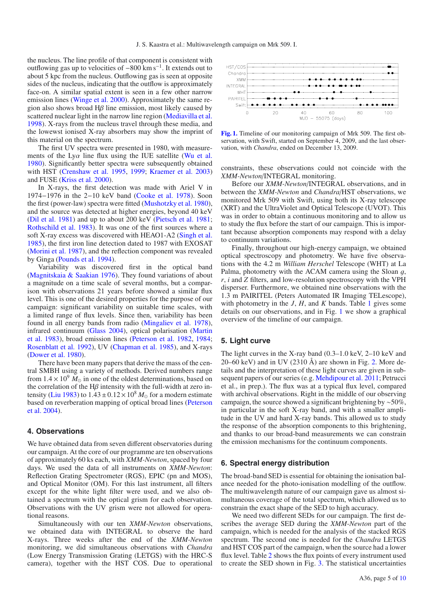the nucleus. The line profile of that component is consistent with outflowing gas up to velocities of  $-800 \text{ km s}^{-1}$ . It extends out to about 5 kpc from the nucleus. Outflowing gas is seen at opposite sides of the nucleus, indicating that the outflow is approximately face-on. A similar spatial extent is seen in a few other narrow emission lines [\(Winge et al. 2000\)](#page-9-56). Approximately the same region also shows broad  $H\beta$  line emission, most likely caused by scattered nuclear light in the narrow line region [\(Mediavilla et al.](#page-9-57) [1998\)](#page-9-57). X-rays from the nucleus travel through these media, and the lowewst ionised X-ray absorbers may show the imprint of this material on the spectrum.

The first UV spectra were presented in 1980, with measurements of the  $Ly\alpha$  line flux using the IUE satellite [\(Wu et al.](#page-9-58) [1980\)](#page-9-58). Significantly better spectra were subsequently obtained with HST [\(Crenshaw et al. 1995](#page-8-38), [1999;](#page-8-8) [Kraemer et al. 2003](#page-9-20)) and FUSE [\(Kriss et al. 2000](#page-9-19)).

In X-rays, the first detection was made with Ariel V in 1974−1976 in the 2−10 keV band [\(Cooke et al. 1978](#page-8-39)). Soon the first (power-law) spectra were fitted [\(Mushotzky et al. 1980\)](#page-9-59), and the source was detected at higher energies, beyond 40 keV [\(Dil et al. 1981](#page-8-40)) and up to about 200 keV [\(Pietsch et al. 1981;](#page-9-60) [Rothschild et al. 1983\)](#page-9-61). It was one of the first sources where a soft X-ray excess was discovered with HEAO1-A2 [\(Singh et al.](#page-9-62) [1985\)](#page-9-62), the first iron line detection dated to 1987 with EXOSAT [\(Morini et al. 1987\)](#page-9-63), and the reflection component was revealed by Ginga [\(Pounds et al. 1994](#page-9-64)).

Variability was discovered first in the optical band [\(Magnitskaia & Saakian 1976\)](#page-9-40). They found variations of about a magnitude on a time scale of several months, but a comparison with observations 21 years before showed a similar flux level. This is one of the desired properties for the purpose of our campaign: significant variability on suitable time scales, with a limited range of flux levels. Since then, variability has been found in all energy bands from radio [\(Mingaliev et al. 1978\)](#page-9-43), infra[red](#page-9-47) [continuum](#page-9-47) [\(Glass 2004](#page-8-36)[\),](#page-9-47) [optical](#page-9-47) [polarisation](#page-9-47) [\(](#page-9-47)Martin et al. [1983\)](#page-9-47), broad emission lines [\(Peterson et al. 1982,](#page-9-65) [1984;](#page-9-66) [Rosenblatt et al. 1992](#page-9-67)), UV [\(Chapman et al. 1985\)](#page-8-41), and X-rays [\(Dower et al. 1980](#page-8-42)).

There have been many papers that derive the mass of the central SMBH using a variety of methods. Derived numbers range from  $1.4 \times 10^9$   $M_{\odot}$  in one of the oldest determinations, based on the correlation of the  $H\beta$  intensity with the full-width at zero in-tensity [\(Liu 1983](#page-9-68)) to  $1.43 \pm 0.12 \times 10^8 M_{\odot}$  for a modern estimate base[d on reverberation mapping of optical broad lines \(](#page-9-69)Peterson et al. [2004\)](#page-9-69).

## <span id="page-4-0"></span>**4. Observations**

We have obtained data from seven different observatories during our campaign. At the core of our programme are ten observations of approximately 60 ks each, with *XMM-Newton*, spaced by four days. We used the data of all instruments on *XMM-Newton*: Reflection Grating Spectrometer (RGS), EPIC (pn and MOS), and Optical Monitor (OM). For this last instrument, all filters except for the white light filter were used, and we also obtained a spectrum with the optical grism for each observation. Observations with the UV grism were not allowed for operational reasons.

Simultaneously with our ten *XMM-Newton* observations, we obtained data with INTEGRAL to observe the hard X-rays. Three weeks after the end of the *XMM-Newton* monitoring, we did simultaneous observations with *Chandra* (Low Energy Transmission Grating (LETGS) with the HRC-S camera), together with the HST COS. Due to operational

<span id="page-4-1"></span>

**[Fig. 1.](http://dexter.edpsciences.org/applet.php?DOI=10.1051/0004-6361/201116869&pdf_id=1)** Timeline of our monitoring campaign of Mrk 509. The first observation, with Swift, started on September 4, 2009, and the last observation, with *Chandra*, ended on December 13, 2009.

constraints, these observations could not coincide with the *XMM-Newton*/INTEGRAL monitoring.

Before our *XMM-Newton*/INTEGRAL observations, and in between the *XMM-Newton* and *Chandra*/HST observations, we monitored Mrk 509 with Swift, using both its X-ray telescope (XRT) and the UltraViolet and Optical Telescope (UVOT). This was in order to obtain a continuous monitoring and to allow us to study the flux before the start of our campaign. This is important because absorption components may respond with a delay to continuum variations.

Finally, throughout our high-energy campaign, we obtained optical spectroscopy and photometry. We have five observations with the 4.2 m *William Herschel* Telescope (WHT) at La Palma, photometry with the ACAM camera using the Sloan  $q$ , *r*, *i* and *Z* filters, and low-resolution spectroscopy with the VPH disperser. Furthermore, we obtained nine observations with the 1.3 m PAIRITEL (Peters Automated IR Imaging TELescope), with photometry in the *J*, *H*, and *K* bands. Table [1](#page-5-0) gives some details on our observations, and in Fig. [1](#page-4-1) we show a graphical overview of the timeline of our campaign.

## **5. Light curve**

The light curves in the X-ray band (0.3–1.0 keV, 2–10 keV and 20–60 keV) and in UV (2310 Å) are shown in Fig. [2.](#page-6-0) More details and the interpretation of these light curves are given in subsequent papers of our series (e.g. [Mehdipour et al. 2011](#page-9-70); Petrucci et al., in prep.). The flux was at a typical flux level, compared with archival observations. Right in the middle of our observing campaign, the source showed a significant brightening by ∼50%, in particular in the soft X-ray band, and with a smaller amplitude in the UV and hard X-ray bands. This allowed us to study the response of the absorption components to this brightening, and thanks to our broad-band measurements we can constrain the emission mechanisms for the continuum components.

## **6. Spectral energy distribution**

The broad-band SED is essential for obtaining the ionisation balance needed for the photo-ionisation modelling of the outflow. The multiwavelength nature of our campaign gave us almost simultaneous coverage of the total spectrum, which allowed us to constrain the exact shape of the SED to high accuracy.

We need two different SEDs for our campaign. The first describes the average SED during the *XMM-Newton* part of the campaign, which is needed for the analysis of the stacked RGS spectrum. The second one is needed for the *Chandra* LETGS and HST COS part of the campaign, when the source had a lower flux level. Table [2](#page-6-1) shows the flux points of every instrument used to create the SED shown in Fig. [3.](#page-6-2) The statistical uncertainties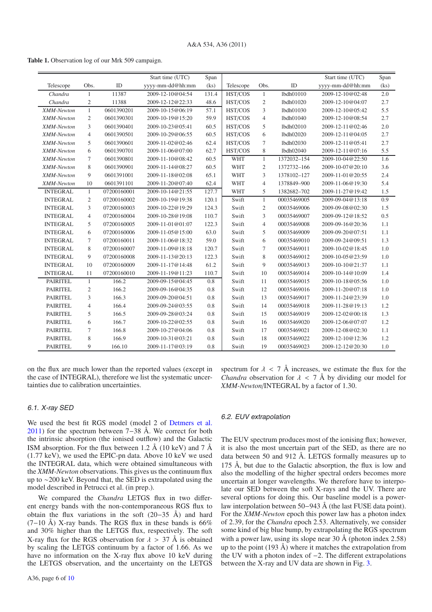<span id="page-5-0"></span>**Table 1.** Observation log of our Mrk 509 campaign.

|                 |                |             | Start time (UTC) | Span  |            |                |             | Start time (UTC) | Span |
|-----------------|----------------|-------------|------------------|-------|------------|----------------|-------------|------------------|------|
| Telescope       | Obs.           | ID          | yyyy-mm-dd@hh:mm | (ks)  | Telescope  | Obs.           | ID          | yyyy-mm-dd@hh:mm | (ks) |
| Chandra         | 1              | 11387       | 2009-12-10@04:54 | 131.4 | HST/COS    | $\mathbf{1}$   | lbdh01010   | 2009-12-10@02:48 | 2.0  |
| Chandra         | $\mathfrak{2}$ | 11388       | 2009-12-12@22:33 | 48.6  | HST/COS    | $\mathfrak{2}$ | lbdh01020   | 2009-12-10@04:07 | 2.7  |
| XMM-Newton      | $\mathbf{1}$   | 0601390201  | 2009-10-15@06:19 | 57.1  | HST/COS    | 3              | lbdh01030   | 2009-12-10@05:42 | 5.5  |
| XMM-Newton      | $\overline{c}$ | 0601390301  | 2009-10-19@15:20 | 59.9  | HST/COS    | $\overline{4}$ | lbdh01040   | 2009-12-10@08:54 | 2.7  |
| XMM-Newton      | 3              | 0601390401  | 2009-10-23@05:41 | 60.5  | HST/COS    | 5              | lbdh02010   | 2009-12-11@02:46 | 2.0  |
| XMM-Newton      | $\overline{4}$ | 0601390501  | 2009-10-29@06:55 | 60.5  | HST/COS    | 6              | lbdh02020   | 2009-12-11@04:05 | 2.7  |
| XMM-Newton      | 5              | 0601390601  | 2009-11-02@02:46 | 62.4  | HST/COS    | $\tau$         | lbdh02030   | 2009-12-11@05:41 | 2.7  |
| XMM-Newton      | 6              | 0601390701  | 2009-11-06@07:00 | 62.7  | HST/COS    | 8              | lbdh02040   | 2009-12-11@07:16 | 5.5  |
| XMM-Newton      | 7              | 0601390801  | 2009-11-10@08:42 | 60.5  | <b>WHT</b> | $\mathbf{1}$   | 1372032-154 | 2009-10-04@22:50 | 1.6  |
| XMM-Newton      | 8              | 0601390901  | 2009-11-14@08:27 | 60.5  | <b>WHT</b> | $\overline{c}$ | 1372732-166 | 2009-10-07@20:10 | 3.6  |
| XMM-Newton      | 9              | 0601391001  | 2009-11-18@02:08 | 65.1  | <b>WHT</b> | 3              | 1378102-127 | 2009-11-01@20:55 | 2.4  |
| XMM-Newton      | 10             | 0601391101  | 2009-11-20@07:40 | 62.4  | <b>WHT</b> | $\overline{4}$ | 1378849-900 | 2009-11-06@19:30 | 5.4  |
| <b>INTEGRAL</b> | $\mathbf{1}$   | 07200160001 | 2009-10-14@21:55 | 127.7 | <b>WHT</b> | 5              | 1382682-702 | 2009-11-27@19:42 | 1.5  |
| <b>INTEGRAL</b> | $\overline{c}$ | 07200160002 | 2009-10-19@19:38 | 120.1 | Swift      | $\mathbf{1}$   | 00035469005 | 2009-09-04@13:18 | 0.9  |
| <b>INTEGRAL</b> | 3              | 07200160003 | 2009-10-22@19:29 | 124.3 | Swift      | $\mathfrak{2}$ | 00035469006 | 2009-09-08@02:30 | 1.5  |
| <b>INTEGRAL</b> | $\overline{4}$ | 07200160004 | 2009-10-28@19:08 | 110.7 | Swift      | 3              | 00035469007 | 2009-09-12@18:52 | 0.5  |
| <b>INTEGRAL</b> | 5              | 07200160005 | 2009-11-01@01:07 | 122.3 | Swift      | $\overline{4}$ | 00035469008 | 2009-09-16@20:36 | 1.1  |
| <b>INTEGRAL</b> | 6              | 07200160006 | 2009-11-05@15:00 | 63.0  | Swift      | 5              | 00035469009 | 2009-09-20@07:51 | 1.1  |
| <b>INTEGRAL</b> | $\tau$         | 07200160011 | 2009-11-06@18:32 | 59.0  | Swift      | 6              | 00035469010 | 2009-09-24@09:51 | 1.3  |
| <b>INTEGRAL</b> | 8              | 07200160007 | 2009-11-09@18:18 | 120.7 | Swift      | $\tau$         | 00035469011 | 2009-10-02@18:45 | 1.0  |
| <b>INTEGRAL</b> | 9              | 07200160008 | 2009-11-13@20:13 | 122.3 | Swift      | 8              | 00035469012 | 2009-10-05@23:59 | 1.0  |
| <b>INTEGRAL</b> | 10             | 07200160009 | 2009-11-17@14:48 | 61.2  | Swift      | 9              | 00035469013 | 2009-10-10@21:37 | 1.1  |
| <b>INTEGRAL</b> | 11             | 07200160010 | 2009-11-19@11:23 | 110.7 | Swift      | 10             | 00035469014 | 2009-10-14@10:09 | 1.4  |
| <b>PAIRITEL</b> | $\mathbf{1}$   | 166.2       | 2009-09-15@04:45 | 0.8   | Swift      | 11             | 00035469015 | 2009-10-18@05:56 | 1.0  |
| <b>PAIRITEL</b> | $\mathfrak{2}$ | 166.2       | 2009-09-16@04:35 | 0.8   | Swift      | 12             | 00035469016 | 2009-11-20@07:18 | 1.0  |
| <b>PAIRITEL</b> | 3              | 166.3       | 2009-09-20@04:51 | 0.8   | Swift      | 13             | 00035469017 | 2009-11-24@23:39 | 1.0  |
| <b>PAIRITEL</b> | $\overline{4}$ | 166.4       | 2009-09-24@03:55 | 0.8   | Swift      | 14             | 00035469018 | 2009-11-28@19:13 | 1.2  |
| <b>PAIRITEL</b> | 5              | 166.5       | 2009-09-28@03:24 | 0.8   | Swift      | 15             | 00035469019 | 2009-12-02@00:18 | 1.3  |
| <b>PAIRITEL</b> | 6              | 166.7       | 2009-10-22@02:55 | 0.8   | Swift      | 16             | 00035469020 | 2009-12-06@07:07 | 1.2  |
| <b>PAIRITEL</b> | 7              | 166.8       | 2009-10-27@04:06 | 0.8   | Swift      | 17             | 00035469021 | 2009-12-08@02:30 | 1.1  |
| <b>PAIRITEL</b> | 8              | 166.9       | 2009-10-31@03:21 | 0.8   | Swift      | 18             | 00035469022 | 2009-12-10@12:36 | 1.2  |
| <b>PAIRITEL</b> | 9              | 166.10      | 2009-11-17@03:19 | 0.8   | Swift      | 19             | 00035469023 | 2009-12-12@20:30 | 1.0  |

on the flux are much lower than the reported values (except in the case of INTEGRAL), therefore we list the systematic uncertainties due to calibration uncertainties.

## 6.1. X-ray SED

We used the best fit RGS model (model 2 of [Detmers et al.](#page-8-43) [2011\)](#page-8-43) for the spectrum between 7–38 Å. We correct for both the intrinsic absorption (the ionised outflow) and the Galactic ISM absorption. For the flux between 1.2 Å (10 keV) and 7 Å (1.77 keV), we used the EPIC-pn data. Above 10 keV we used the INTEGRAL data, which were obtained simultaneous with the *XMM-Newton* observations. This gives us the continuum flux up to ∼200 keV. Beyond that, the SED is extrapolated using the model described in Petrucci et al. (in prep.).

We compared the *Chandra* LETGS flux in two different energy bands with the non-contemporaneous RGS flux to obtain the flux variations in the soft (20−35 Å) and hard  $(7-10 \text{ Å})$  X-ray bands. The RGS flux in these bands is 66% and 30% higher than the LETGS flux, respectively. The soft X-ray flux for the RGS observation for  $\lambda > 37$  Å is obtained by scaling the LETGS continuum by a factor of 1.66. As we have no information on the X-ray flux above 10 keV during the LETGS observation, and the uncertainty on the LETGS spectrum for  $\lambda$  < 7 Å increases, we estimate the flux for the *Chandra* observation for  $\lambda < 7$  Å by dividing our model for *XMM-Newton*/INTEGRAL by a factor of 1.30.

## <span id="page-5-1"></span>6.2. EUV extrapolation

The EUV spectrum produces most of the ionising flux; however, it is also the most uncertain part of the SED, as there are no data between 50 and 912 Å. LETGS formally measures up to 175 Å, but due to the Galactic absorption, the flux is low and also the modelling of the higher spectral orders becomes more uncertain at longer wavelengths. We therefore have to interpolate our SED between the soft X-rays and the UV. There are several options for doing this. Our baseline model is a powerlaw interpolation between 50−943 Å (the last FUSE data point). For the *XMM-Newton* epoch this power law has a photon index of 2.39, for the *Chandra* epoch 2.53. Alternatively, we consider some kind of big blue bump, by extrapolating the RGS spectrum with a power law, using its slope near 30  $\AA$  (photon index 2.58) up to the point (193 Å) where it matches the extrapolation from the UV with a photon index of −2. The different extrapolations between the X-ray and UV data are shown in Fig. [3.](#page-6-2)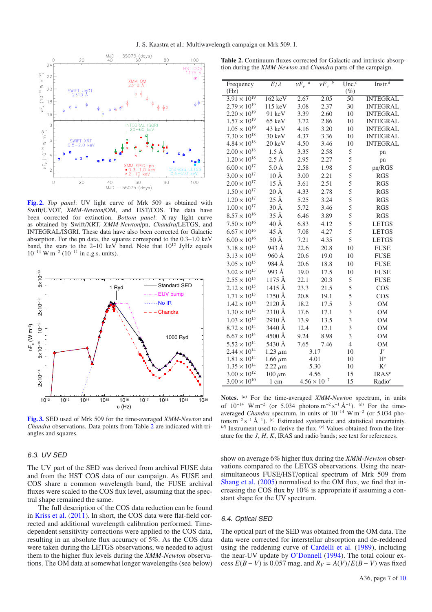<span id="page-6-0"></span>

**[Fig. 2.](http://dexter.edpsciences.org/applet.php?DOI=10.1051/0004-6361/201116869&pdf_id=2)** *Top panel*: UV light curve of Mrk 509 as obtained with Swift/UVOT, *XMM-Newton*/OM, and HST/COS. The data have been corrected for extinction. *Bottom panel*: X-ray light curve as obtained by Swift/XRT, *XMM-Newton*/pn, *Chandra*/LETGS, and INTEGRAL/ISGRI. These data have also been corrected for Galactic absorption. For the pn data, the squares correspond to the 0.3–1.0 keV band, the stars to the 2–10 keV band. Note that  $10^{12}$  JyHz equals  $10^{-14}$  W m<sup>-2</sup> (10<sup>-11</sup> in c.g.s. units).

<span id="page-6-2"></span>

**[Fig. 3.](http://dexter.edpsciences.org/applet.php?DOI=10.1051/0004-6361/201116869&pdf_id=3)** SED used of Mrk 509 for the time-averaged *XMM-Newton* and *Chandra* observations. Data points from Table [2](#page-6-1) are indicated with triangles and squares.

#### 6.3. UV SED

The UV part of the SED was derived from archival FUSE data and from the HST COS data of our campaign. As FUSE and COS share a common wavelength band, the FUSE archival fluxes were scaled to the COS flux level, assuming that the spectral shape remained the same.

The full description of the COS data reduction can be found in [Kriss et al.](#page-9-71) [\(2011\)](#page-9-71). In short, the COS data were flat-field corrected and additional wavelength calibration performed. Timedependent sensitivity corrections were applied to the COS data, resulting in an absolute flux accuracy of 5%. As the COS data were taken during the LETGS observations, we needed to adjust them to the higher flux levels during the *XMM-Newton* observations. The OM data at somewhat longer wavelengths (see below)

| (Hz)<br>$(\%)$<br>$3.91 \times 10^{19}$<br>$162 \text{ keV}$<br>2.67<br>2.05<br><b>INTEGRAL</b><br>50<br>$2.79 \times 10^{19}$<br>115 keV<br>3.08<br>2.37<br>30<br><b>INTEGRAL</b><br>$2.20 \times 10^{19}$<br>91 keV<br>3.39<br>2.60<br>10<br><b>INTEGRAL</b><br>$1.57 \times 10^{19}$<br>65 keV<br>3.72<br>2.86<br>10<br><b>INTEGRAL</b><br>$1.05 \times 10^{19}$<br>43 keV<br>4.16<br>3.20<br>10<br><b>INTEGRAL</b><br>$7.30 \times 10^{18}$<br>30 keV<br>4.37<br>3.36<br>10<br><b>INTEGRAL</b><br>$4.84 \times 10^{18}$<br>4.50<br>$20 \text{ keV}$<br>3.46<br>10<br><b>INTEGRAL</b><br>$2.00 \times 10^{18}$<br>$1.5 \text{ Å}$<br>5<br>3.35<br>2.58<br>pn<br>$1.20\times10^{18}$<br>$2.5 \text{ Å}$<br>5<br>2.95<br>2.27<br>pn<br>$5.0\,\text{\AA}$<br>5<br>$6.00 \times 10^{17}$<br>2.58<br>1.98<br>pn/RGS<br>$3.00\times10^{17}$<br>$10 \text{ Å}$<br>5<br>3.00<br>2.21<br><b>RGS</b><br>$15 \text{ Å}$<br>5<br>$2.00 \times 10^{17}$<br>3.61<br>2.51<br><b>RGS</b><br>$20 \text{ Å}$<br>5<br>$1.50 \times 10^{17}$<br>4.33<br>2.78<br><b>RGS</b><br>$25 \text{ Å}$<br>5<br>$1.20\times10^{17}$<br>5.25<br>3.24<br><b>RGS</b><br>$30 \text{ Å}$<br>5<br>$1.00\times10^{17}$<br>5.72<br>3.46<br><b>RGS</b><br>35Å<br>5<br>$8.57 \times 10^{16}$<br>6.46<br><b>RGS</b><br>3.89<br>$40 \text{ Å}$<br>5<br>$7.50 \times 10^{16}$<br>6.83<br>4.12<br><b>LETGS</b><br>45 Å<br>5<br>$6.67 \times 10^{16}$<br>7.08<br>4.27<br><b>LETGS</b><br>50Å<br>$6.00\times10^{16}$<br>5<br>7.21<br>4.35<br><b>LETGS</b><br>$3.18\times10^{15}$<br>943 Å<br><b>FUSE</b><br>22.6<br>20.8<br>10<br>$3.13 \times 10^{15}$<br>960Å<br>20.6<br>19.0<br>10<br><b>FUSE</b><br>$3.05\times10^{15}$<br>984 Å<br>20.6<br>18.8<br>10<br><b>FUSE</b><br>$3.02 \times 10^{15}$<br>993 Å<br>19.0<br><b>FUSE</b><br>17.5<br>10<br>$2.55 \times 10^{15}$<br>1175 Å<br>22.1<br>20.3<br>5<br><b>FUSE</b><br>1415 Å<br>5<br>$2.12 \times 10^{15}$<br>23.3<br>21.5<br>COS<br>$1.71\times10^{15}$<br>5<br>1750 Å<br>20.8<br>COS<br>19.1<br>$1.42\times10^{15}$<br>3<br>2120 Å<br>18.2<br>17.5<br>$_{\rm OM}$<br>$1.30 \times 10^{15}$<br>2310 Å<br>3<br>17.6<br>17.1<br>OM<br>3<br>$1.03\times10^{15}$<br>2910 Å<br>13.9<br>$_{\rm OM}$<br>13.5<br>$8.72 \times 10^{14}$<br>3440 Å<br>3<br>12.4<br>12.1<br>OM<br>$6.67 \times 10^{14}$<br>4500 Å<br>3<br>9.24<br>8.98<br>OM<br>$5.52 \times 10^{14}$<br>5430 Å<br>$\overline{4}$<br>7.65<br>7.46<br><b>OM</b><br>$2.44 \times 10^{14}$<br>$\mathbf{J}^e$<br>10<br>$1.23 \ \mu m$<br>3.17<br>$1.81\times10^{14}$<br>$\mathbf{H}^e$<br>1.66 $\mu$ m<br>4.01<br>10<br>$1.35 \times 10^{14}$<br>$K^e$<br>5.30<br>10<br>$2.22 \,\mu m$<br>$3.00 \times 10^{12}$<br>4.56<br>IRAS <sup>e</sup><br>15<br>$100 \ \mu m$<br>$4.56 \times 10^{-7}$<br>$3.00 \times 10^{10}$<br>15<br>Radio <sup>e</sup><br>1 cm | Frequency | $E/\lambda$ | $\nu F_{\nu}^{\alpha}$ | $\nu F_{\nu}^{\overline{b}}$ | $\overline{\text{Unc.}^c}$ | Instr. $d$ |
|----------------------------------------------------------------------------------------------------------------------------------------------------------------------------------------------------------------------------------------------------------------------------------------------------------------------------------------------------------------------------------------------------------------------------------------------------------------------------------------------------------------------------------------------------------------------------------------------------------------------------------------------------------------------------------------------------------------------------------------------------------------------------------------------------------------------------------------------------------------------------------------------------------------------------------------------------------------------------------------------------------------------------------------------------------------------------------------------------------------------------------------------------------------------------------------------------------------------------------------------------------------------------------------------------------------------------------------------------------------------------------------------------------------------------------------------------------------------------------------------------------------------------------------------------------------------------------------------------------------------------------------------------------------------------------------------------------------------------------------------------------------------------------------------------------------------------------------------------------------------------------------------------------------------------------------------------------------------------------------------------------------------------------------------------------------------------------------------------------------------------------------------------------------------------------------------------------------------------------------------------------------------------------------------------------------------------------------------------------------------------------------------------------------------------------------------------------------------------------------------------------------------------------------------------------------------------------------------------------------------------------------------------------------------------------------------------------------------------------------------------------------------------------------------------------------------|-----------|-------------|------------------------|------------------------------|----------------------------|------------|
|                                                                                                                                                                                                                                                                                                                                                                                                                                                                                                                                                                                                                                                                                                                                                                                                                                                                                                                                                                                                                                                                                                                                                                                                                                                                                                                                                                                                                                                                                                                                                                                                                                                                                                                                                                                                                                                                                                                                                                                                                                                                                                                                                                                                                                                                                                                                                                                                                                                                                                                                                                                                                                                                                                                                                                                                                      |           |             |                        |                              |                            |            |
|                                                                                                                                                                                                                                                                                                                                                                                                                                                                                                                                                                                                                                                                                                                                                                                                                                                                                                                                                                                                                                                                                                                                                                                                                                                                                                                                                                                                                                                                                                                                                                                                                                                                                                                                                                                                                                                                                                                                                                                                                                                                                                                                                                                                                                                                                                                                                                                                                                                                                                                                                                                                                                                                                                                                                                                                                      |           |             |                        |                              |                            |            |
|                                                                                                                                                                                                                                                                                                                                                                                                                                                                                                                                                                                                                                                                                                                                                                                                                                                                                                                                                                                                                                                                                                                                                                                                                                                                                                                                                                                                                                                                                                                                                                                                                                                                                                                                                                                                                                                                                                                                                                                                                                                                                                                                                                                                                                                                                                                                                                                                                                                                                                                                                                                                                                                                                                                                                                                                                      |           |             |                        |                              |                            |            |
|                                                                                                                                                                                                                                                                                                                                                                                                                                                                                                                                                                                                                                                                                                                                                                                                                                                                                                                                                                                                                                                                                                                                                                                                                                                                                                                                                                                                                                                                                                                                                                                                                                                                                                                                                                                                                                                                                                                                                                                                                                                                                                                                                                                                                                                                                                                                                                                                                                                                                                                                                                                                                                                                                                                                                                                                                      |           |             |                        |                              |                            |            |
|                                                                                                                                                                                                                                                                                                                                                                                                                                                                                                                                                                                                                                                                                                                                                                                                                                                                                                                                                                                                                                                                                                                                                                                                                                                                                                                                                                                                                                                                                                                                                                                                                                                                                                                                                                                                                                                                                                                                                                                                                                                                                                                                                                                                                                                                                                                                                                                                                                                                                                                                                                                                                                                                                                                                                                                                                      |           |             |                        |                              |                            |            |
|                                                                                                                                                                                                                                                                                                                                                                                                                                                                                                                                                                                                                                                                                                                                                                                                                                                                                                                                                                                                                                                                                                                                                                                                                                                                                                                                                                                                                                                                                                                                                                                                                                                                                                                                                                                                                                                                                                                                                                                                                                                                                                                                                                                                                                                                                                                                                                                                                                                                                                                                                                                                                                                                                                                                                                                                                      |           |             |                        |                              |                            |            |
|                                                                                                                                                                                                                                                                                                                                                                                                                                                                                                                                                                                                                                                                                                                                                                                                                                                                                                                                                                                                                                                                                                                                                                                                                                                                                                                                                                                                                                                                                                                                                                                                                                                                                                                                                                                                                                                                                                                                                                                                                                                                                                                                                                                                                                                                                                                                                                                                                                                                                                                                                                                                                                                                                                                                                                                                                      |           |             |                        |                              |                            |            |
|                                                                                                                                                                                                                                                                                                                                                                                                                                                                                                                                                                                                                                                                                                                                                                                                                                                                                                                                                                                                                                                                                                                                                                                                                                                                                                                                                                                                                                                                                                                                                                                                                                                                                                                                                                                                                                                                                                                                                                                                                                                                                                                                                                                                                                                                                                                                                                                                                                                                                                                                                                                                                                                                                                                                                                                                                      |           |             |                        |                              |                            |            |
|                                                                                                                                                                                                                                                                                                                                                                                                                                                                                                                                                                                                                                                                                                                                                                                                                                                                                                                                                                                                                                                                                                                                                                                                                                                                                                                                                                                                                                                                                                                                                                                                                                                                                                                                                                                                                                                                                                                                                                                                                                                                                                                                                                                                                                                                                                                                                                                                                                                                                                                                                                                                                                                                                                                                                                                                                      |           |             |                        |                              |                            |            |
|                                                                                                                                                                                                                                                                                                                                                                                                                                                                                                                                                                                                                                                                                                                                                                                                                                                                                                                                                                                                                                                                                                                                                                                                                                                                                                                                                                                                                                                                                                                                                                                                                                                                                                                                                                                                                                                                                                                                                                                                                                                                                                                                                                                                                                                                                                                                                                                                                                                                                                                                                                                                                                                                                                                                                                                                                      |           |             |                        |                              |                            |            |
|                                                                                                                                                                                                                                                                                                                                                                                                                                                                                                                                                                                                                                                                                                                                                                                                                                                                                                                                                                                                                                                                                                                                                                                                                                                                                                                                                                                                                                                                                                                                                                                                                                                                                                                                                                                                                                                                                                                                                                                                                                                                                                                                                                                                                                                                                                                                                                                                                                                                                                                                                                                                                                                                                                                                                                                                                      |           |             |                        |                              |                            |            |
|                                                                                                                                                                                                                                                                                                                                                                                                                                                                                                                                                                                                                                                                                                                                                                                                                                                                                                                                                                                                                                                                                                                                                                                                                                                                                                                                                                                                                                                                                                                                                                                                                                                                                                                                                                                                                                                                                                                                                                                                                                                                                                                                                                                                                                                                                                                                                                                                                                                                                                                                                                                                                                                                                                                                                                                                                      |           |             |                        |                              |                            |            |
|                                                                                                                                                                                                                                                                                                                                                                                                                                                                                                                                                                                                                                                                                                                                                                                                                                                                                                                                                                                                                                                                                                                                                                                                                                                                                                                                                                                                                                                                                                                                                                                                                                                                                                                                                                                                                                                                                                                                                                                                                                                                                                                                                                                                                                                                                                                                                                                                                                                                                                                                                                                                                                                                                                                                                                                                                      |           |             |                        |                              |                            |            |
|                                                                                                                                                                                                                                                                                                                                                                                                                                                                                                                                                                                                                                                                                                                                                                                                                                                                                                                                                                                                                                                                                                                                                                                                                                                                                                                                                                                                                                                                                                                                                                                                                                                                                                                                                                                                                                                                                                                                                                                                                                                                                                                                                                                                                                                                                                                                                                                                                                                                                                                                                                                                                                                                                                                                                                                                                      |           |             |                        |                              |                            |            |
|                                                                                                                                                                                                                                                                                                                                                                                                                                                                                                                                                                                                                                                                                                                                                                                                                                                                                                                                                                                                                                                                                                                                                                                                                                                                                                                                                                                                                                                                                                                                                                                                                                                                                                                                                                                                                                                                                                                                                                                                                                                                                                                                                                                                                                                                                                                                                                                                                                                                                                                                                                                                                                                                                                                                                                                                                      |           |             |                        |                              |                            |            |
|                                                                                                                                                                                                                                                                                                                                                                                                                                                                                                                                                                                                                                                                                                                                                                                                                                                                                                                                                                                                                                                                                                                                                                                                                                                                                                                                                                                                                                                                                                                                                                                                                                                                                                                                                                                                                                                                                                                                                                                                                                                                                                                                                                                                                                                                                                                                                                                                                                                                                                                                                                                                                                                                                                                                                                                                                      |           |             |                        |                              |                            |            |
|                                                                                                                                                                                                                                                                                                                                                                                                                                                                                                                                                                                                                                                                                                                                                                                                                                                                                                                                                                                                                                                                                                                                                                                                                                                                                                                                                                                                                                                                                                                                                                                                                                                                                                                                                                                                                                                                                                                                                                                                                                                                                                                                                                                                                                                                                                                                                                                                                                                                                                                                                                                                                                                                                                                                                                                                                      |           |             |                        |                              |                            |            |
|                                                                                                                                                                                                                                                                                                                                                                                                                                                                                                                                                                                                                                                                                                                                                                                                                                                                                                                                                                                                                                                                                                                                                                                                                                                                                                                                                                                                                                                                                                                                                                                                                                                                                                                                                                                                                                                                                                                                                                                                                                                                                                                                                                                                                                                                                                                                                                                                                                                                                                                                                                                                                                                                                                                                                                                                                      |           |             |                        |                              |                            |            |
|                                                                                                                                                                                                                                                                                                                                                                                                                                                                                                                                                                                                                                                                                                                                                                                                                                                                                                                                                                                                                                                                                                                                                                                                                                                                                                                                                                                                                                                                                                                                                                                                                                                                                                                                                                                                                                                                                                                                                                                                                                                                                                                                                                                                                                                                                                                                                                                                                                                                                                                                                                                                                                                                                                                                                                                                                      |           |             |                        |                              |                            |            |
|                                                                                                                                                                                                                                                                                                                                                                                                                                                                                                                                                                                                                                                                                                                                                                                                                                                                                                                                                                                                                                                                                                                                                                                                                                                                                                                                                                                                                                                                                                                                                                                                                                                                                                                                                                                                                                                                                                                                                                                                                                                                                                                                                                                                                                                                                                                                                                                                                                                                                                                                                                                                                                                                                                                                                                                                                      |           |             |                        |                              |                            |            |
|                                                                                                                                                                                                                                                                                                                                                                                                                                                                                                                                                                                                                                                                                                                                                                                                                                                                                                                                                                                                                                                                                                                                                                                                                                                                                                                                                                                                                                                                                                                                                                                                                                                                                                                                                                                                                                                                                                                                                                                                                                                                                                                                                                                                                                                                                                                                                                                                                                                                                                                                                                                                                                                                                                                                                                                                                      |           |             |                        |                              |                            |            |
|                                                                                                                                                                                                                                                                                                                                                                                                                                                                                                                                                                                                                                                                                                                                                                                                                                                                                                                                                                                                                                                                                                                                                                                                                                                                                                                                                                                                                                                                                                                                                                                                                                                                                                                                                                                                                                                                                                                                                                                                                                                                                                                                                                                                                                                                                                                                                                                                                                                                                                                                                                                                                                                                                                                                                                                                                      |           |             |                        |                              |                            |            |
|                                                                                                                                                                                                                                                                                                                                                                                                                                                                                                                                                                                                                                                                                                                                                                                                                                                                                                                                                                                                                                                                                                                                                                                                                                                                                                                                                                                                                                                                                                                                                                                                                                                                                                                                                                                                                                                                                                                                                                                                                                                                                                                                                                                                                                                                                                                                                                                                                                                                                                                                                                                                                                                                                                                                                                                                                      |           |             |                        |                              |                            |            |
|                                                                                                                                                                                                                                                                                                                                                                                                                                                                                                                                                                                                                                                                                                                                                                                                                                                                                                                                                                                                                                                                                                                                                                                                                                                                                                                                                                                                                                                                                                                                                                                                                                                                                                                                                                                                                                                                                                                                                                                                                                                                                                                                                                                                                                                                                                                                                                                                                                                                                                                                                                                                                                                                                                                                                                                                                      |           |             |                        |                              |                            |            |
|                                                                                                                                                                                                                                                                                                                                                                                                                                                                                                                                                                                                                                                                                                                                                                                                                                                                                                                                                                                                                                                                                                                                                                                                                                                                                                                                                                                                                                                                                                                                                                                                                                                                                                                                                                                                                                                                                                                                                                                                                                                                                                                                                                                                                                                                                                                                                                                                                                                                                                                                                                                                                                                                                                                                                                                                                      |           |             |                        |                              |                            |            |
|                                                                                                                                                                                                                                                                                                                                                                                                                                                                                                                                                                                                                                                                                                                                                                                                                                                                                                                                                                                                                                                                                                                                                                                                                                                                                                                                                                                                                                                                                                                                                                                                                                                                                                                                                                                                                                                                                                                                                                                                                                                                                                                                                                                                                                                                                                                                                                                                                                                                                                                                                                                                                                                                                                                                                                                                                      |           |             |                        |                              |                            |            |
|                                                                                                                                                                                                                                                                                                                                                                                                                                                                                                                                                                                                                                                                                                                                                                                                                                                                                                                                                                                                                                                                                                                                                                                                                                                                                                                                                                                                                                                                                                                                                                                                                                                                                                                                                                                                                                                                                                                                                                                                                                                                                                                                                                                                                                                                                                                                                                                                                                                                                                                                                                                                                                                                                                                                                                                                                      |           |             |                        |                              |                            |            |
|                                                                                                                                                                                                                                                                                                                                                                                                                                                                                                                                                                                                                                                                                                                                                                                                                                                                                                                                                                                                                                                                                                                                                                                                                                                                                                                                                                                                                                                                                                                                                                                                                                                                                                                                                                                                                                                                                                                                                                                                                                                                                                                                                                                                                                                                                                                                                                                                                                                                                                                                                                                                                                                                                                                                                                                                                      |           |             |                        |                              |                            |            |
|                                                                                                                                                                                                                                                                                                                                                                                                                                                                                                                                                                                                                                                                                                                                                                                                                                                                                                                                                                                                                                                                                                                                                                                                                                                                                                                                                                                                                                                                                                                                                                                                                                                                                                                                                                                                                                                                                                                                                                                                                                                                                                                                                                                                                                                                                                                                                                                                                                                                                                                                                                                                                                                                                                                                                                                                                      |           |             |                        |                              |                            |            |
|                                                                                                                                                                                                                                                                                                                                                                                                                                                                                                                                                                                                                                                                                                                                                                                                                                                                                                                                                                                                                                                                                                                                                                                                                                                                                                                                                                                                                                                                                                                                                                                                                                                                                                                                                                                                                                                                                                                                                                                                                                                                                                                                                                                                                                                                                                                                                                                                                                                                                                                                                                                                                                                                                                                                                                                                                      |           |             |                        |                              |                            |            |
|                                                                                                                                                                                                                                                                                                                                                                                                                                                                                                                                                                                                                                                                                                                                                                                                                                                                                                                                                                                                                                                                                                                                                                                                                                                                                                                                                                                                                                                                                                                                                                                                                                                                                                                                                                                                                                                                                                                                                                                                                                                                                                                                                                                                                                                                                                                                                                                                                                                                                                                                                                                                                                                                                                                                                                                                                      |           |             |                        |                              |                            |            |
|                                                                                                                                                                                                                                                                                                                                                                                                                                                                                                                                                                                                                                                                                                                                                                                                                                                                                                                                                                                                                                                                                                                                                                                                                                                                                                                                                                                                                                                                                                                                                                                                                                                                                                                                                                                                                                                                                                                                                                                                                                                                                                                                                                                                                                                                                                                                                                                                                                                                                                                                                                                                                                                                                                                                                                                                                      |           |             |                        |                              |                            |            |
|                                                                                                                                                                                                                                                                                                                                                                                                                                                                                                                                                                                                                                                                                                                                                                                                                                                                                                                                                                                                                                                                                                                                                                                                                                                                                                                                                                                                                                                                                                                                                                                                                                                                                                                                                                                                                                                                                                                                                                                                                                                                                                                                                                                                                                                                                                                                                                                                                                                                                                                                                                                                                                                                                                                                                                                                                      |           |             |                        |                              |                            |            |
|                                                                                                                                                                                                                                                                                                                                                                                                                                                                                                                                                                                                                                                                                                                                                                                                                                                                                                                                                                                                                                                                                                                                                                                                                                                                                                                                                                                                                                                                                                                                                                                                                                                                                                                                                                                                                                                                                                                                                                                                                                                                                                                                                                                                                                                                                                                                                                                                                                                                                                                                                                                                                                                                                                                                                                                                                      |           |             |                        |                              |                            |            |
|                                                                                                                                                                                                                                                                                                                                                                                                                                                                                                                                                                                                                                                                                                                                                                                                                                                                                                                                                                                                                                                                                                                                                                                                                                                                                                                                                                                                                                                                                                                                                                                                                                                                                                                                                                                                                                                                                                                                                                                                                                                                                                                                                                                                                                                                                                                                                                                                                                                                                                                                                                                                                                                                                                                                                                                                                      |           |             |                        |                              |                            |            |
|                                                                                                                                                                                                                                                                                                                                                                                                                                                                                                                                                                                                                                                                                                                                                                                                                                                                                                                                                                                                                                                                                                                                                                                                                                                                                                                                                                                                                                                                                                                                                                                                                                                                                                                                                                                                                                                                                                                                                                                                                                                                                                                                                                                                                                                                                                                                                                                                                                                                                                                                                                                                                                                                                                                                                                                                                      |           |             |                        |                              |                            |            |
|                                                                                                                                                                                                                                                                                                                                                                                                                                                                                                                                                                                                                                                                                                                                                                                                                                                                                                                                                                                                                                                                                                                                                                                                                                                                                                                                                                                                                                                                                                                                                                                                                                                                                                                                                                                                                                                                                                                                                                                                                                                                                                                                                                                                                                                                                                                                                                                                                                                                                                                                                                                                                                                                                                                                                                                                                      |           |             |                        |                              |                            |            |
|                                                                                                                                                                                                                                                                                                                                                                                                                                                                                                                                                                                                                                                                                                                                                                                                                                                                                                                                                                                                                                                                                                                                                                                                                                                                                                                                                                                                                                                                                                                                                                                                                                                                                                                                                                                                                                                                                                                                                                                                                                                                                                                                                                                                                                                                                                                                                                                                                                                                                                                                                                                                                                                                                                                                                                                                                      |           |             |                        |                              |                            |            |

**Notes.** (*a*) For the time-averaged *XMM-Newton* spectrum, in units of 10−<sup>14</sup> W m−<sup>2</sup> (or 5.034 photons m−<sup>2</sup> s−<sup>1</sup> Å−1). (*b*) For the timeaveraged *Chandra* spectrum, in units of 10−<sup>14</sup> W m−<sup>2</sup> (or 5.034 photons m−<sup>2</sup> s−<sup>1</sup> Å−1). (*c*) Estimated systematic and statistical uncertainty.  $(d)$  Instrument used to derive the flux.  $(e)$  Values obtained from the literature for the *J*, *H*, *K*, IRAS and radio bands; see text for references.

show on average 6% higher flux during the *XMM-Newton* observations compared to the LETGS observations. Using the nearsimultaneous FUSE/HST/optical spectrum of Mrk 509 from [Shang et al.](#page-9-72) [\(2005](#page-9-72)) normalised to the OM flux, we find that increasing the COS flux by 10% is appropriate if assuming a constant shape for the UV spectrum.

#### 6.4. Optical SED

The optical part of the SED was obtained from the OM data. The data were corrected for interstellar absorption and de-reddened using the reddening curve of [Cardelli et al.](#page-8-44) [\(1989](#page-8-44)), including the near-UV update by [O'Donnell](#page-9-73) [\(1994\)](#page-9-73). The total colour excess  $E(B - V)$  is 0.057 mag, and  $R_V = A(V)/E(B - V)$  was fixed

<span id="page-6-1"></span>**Table 2.** Continuum fluxes corrected for Galactic and intrinsic absorption during the *XMM-Newton* and *Chandra* parts of the campaign.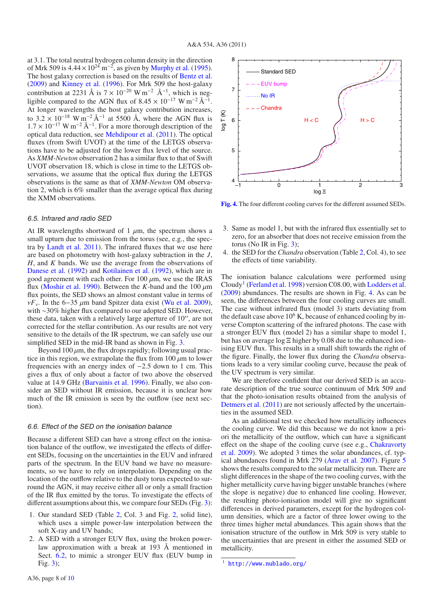at 3.1. The total neutral hydrogen column density in the direction of Mrk 509 is  $4.44 \times 10^{24}$  m<sup>-2</sup>, as given by [Murphy et al.](#page-9-74) [\(1995\)](#page-9-74). The host galaxy correction is based on the results of [Bentz et al.](#page-8-45) [\(2009](#page-8-45)) and [Kinney et al.](#page-9-75) [\(1996](#page-9-75)). For Mrk 509 the host-galaxy contribution at 2231 Å is  $7 \times 10^{-20}$  W m<sup>-2</sup> Å<sup>-1</sup>, which is negligible compared to the AGN flux of  $8.45 \times 10^{-17}$  W m<sup>-2</sup> Å<sup>-1</sup>. At longer wavelengths the host galaxy contribution increases, to  $3.2 \times 10^{-18}$  W m<sup>-2</sup> Å<sup>-1</sup> at 5500 Å, where the AGN flux is  $1.7 \times 10^{-17}$  W m<sup>-2</sup> Å<sup>-1</sup> For a more thorough description of the  $1.7 \times 10^{-17}$  W m<sup>-2</sup> Å<sup>-1</sup>. For a more thorough description of the optical data reduction, see Mendingur et al. (2011). The optical optical data reduction, see [Mehdipour et al.](#page-9-70) [\(2011\)](#page-9-70). The optical fluxes (from Swift UVOT) at the time of the LETGS observations have to be adjusted for the lower flux level of the source. As *XMM-Newton* observation 2 has a similar flux to that of Swift UVOT observation 18, which is close in time to the LETGS observations, we assume that the optical flux during the LETGS observations is the same as that of *XMM-Newton* OM observation 2, which is 6% smaller than the average optical flux during the XMM observations.

#### 6.5. Infrared and radio SED

At IR wavelengths shortward of 1  $\mu$ m, the spectrum shows a small upturn due to emission from the torus (see, e.g., the spectra by [Landt et al. 2011](#page-9-76)). The infrared fluxes that we use here are based on photometry with host-galaxy subtraction in the *J*, *H*, and *K* bands. We use the average from the observations of [Danese et al.](#page-8-46) [\(1992](#page-8-46)) and [Kotilainen et al.](#page-9-77) [\(1992\)](#page-9-77), which are in good agreement with each other. For 100  $\mu$ m, we use the IRAS flux [\(Moshir et al. 1990](#page-9-78)). Between the *K*-band and the 100  $\mu$ m flux points, the SED shows an almost constant value in terms of <sup>ν</sup>*F*ν. In the 6−<sup>35</sup> <sup>μ</sup>m band Spitzer data exist [\(Wu et al. 2009\)](#page-9-79), with ∼30% higher flux compared to our adopted SED. However, these data, taken with a relatively large aperture of  $10$ ", are not corrected for the stellar contribution. As our results are not very sensitive to the details of the IR spectrum, we can safely use our simplified SED in the mid-IR band as shown in Fig. [3.](#page-6-2)

Beyond  $100 \mu m$ , the flux drops rapidly; following usual practice in this region, we extrapolate the flux from  $100 \mu m$  to lower frequencies with an energy index of <sup>−</sup>2.5 down to 1 cm. This gives a flux of only about a factor of two above the observed value at 14.9 GHz [\(Barvainis et al. 1996](#page-8-47)). Finally, we also consider an SED without IR emission, because it is unclear how much of the IR emission is seen by the outflow (see next section).

#### 6.6. Effect of the SED on the ionisation balance

Because a different SED can have a strong effect on the ionisation balance of the outflow, we investigated the effects of different SEDs, focusing on the uncertainties in the EUV and infrared parts of the spectrum. In the EUV band we have no measurements, so we have to rely on interpolation. Depending on the location of the outflow relative to the dusty torus expected to surround the AGN, it may receive either all or only a small fraction of the IR flux emitted by the torus. To investigate the effects of different assumptions about this, we compare four SEDs (Fig. [3\)](#page-6-2):

- 1. Our standard SED (Table [2,](#page-6-1) Col. 3 and Fig. [2,](#page-6-1) solid line), which uses a simple power-law interpolation between the soft X-ray and UV bands;
- 2. A SED with a stronger EUV flux, using the broken powerlaw approximation with a break at 193 Å mentioned in Sect. [6.2,](#page-5-1) to mimic a stronger EUV flux (EUV bump in Fig. [3\)](#page-6-2);

<span id="page-7-1"></span>

**[Fig. 4.](http://dexter.edpsciences.org/applet.php?DOI=10.1051/0004-6361/201116869&pdf_id=4)** The four different cooling curves for the different assumed SEDs.

- 3. Same as model 1, but with the infrared flux essentially set to zero, for an absorber that does not receive emission from the torus (No IR in Fig.  $3$ );
- 4. the SED for the *Chandra* observation (Table [2,](#page-6-1) Col. 4), to see the effects of time variability.

The ionisation balance calculations were performed using Cloudy<sup>[1](#page-7-0)</sup> [\(Ferland et al. 1998](#page-8-48)) version C08.00, with [Lodders et al.](#page-9-80) [\(2009\)](#page-9-80) abundances. The results are shown in Fig. [4.](#page-7-1) As can be seen, the differences between the four cooling curves are small. The case without infrared flux (model 3) starts deviating from the default case above  $10<sup>6</sup>$  K, because of enhanced cooling by inverse Compton scattering of the infrared photons. The case with a stronger EUV flux (model 2) has a similar shape to model 1, but has on average logΞ higher by 0.08 due to the enhanced ionising EUV flux. This results in a small shift towards the right of the figure. Finally, the lower flux during the *Chandra* observations leads to a very similar cooling curve, because the peak of the UV spectrum is very similar.

We are therefore confident that our derived SED is an accurate description of the true source continuum of Mrk 509 and that the photo-ionisation results obtained from the analysis of [Detmers et al.](#page-8-43) [\(2011](#page-8-43)) are not seriously affected by the uncertainties in the assumed SED.

<span id="page-7-0"></span>As an additional test we checked how metallicity influences the cooling curve. We did this because we do not know a priori the metallicity of the outflow, which can have a significant effec[t on the shape of the cooling curve \(see e.g.,](#page-8-49) Chakravorty et al. [2009\)](#page-8-49). We adopted 3 times the solar abundances, cf. typical abundances found in Mrk 279 [\(Arav et al. 2007](#page-8-19)). Figure [5](#page-8-50) shows the results compared to the solar metallicity run. There are slight differences in the shape of the two cooling curves, with the higher metallicity curve having bigger unstable branches (where the slope is negative) due to enhanced line cooling. However, the resulting photo-ionisation model will give no significant differences in derived parameters, except for the hydrogen column densities, which are a factor of three lower owing to the three times higher metal abundances. This again shows that the ionisation structure of the outflow in Mrk 509 is very stable to the uncertainties that are present in either the assumed SED or metallicity.

<sup>1</sup> <http://www.nublado.org/>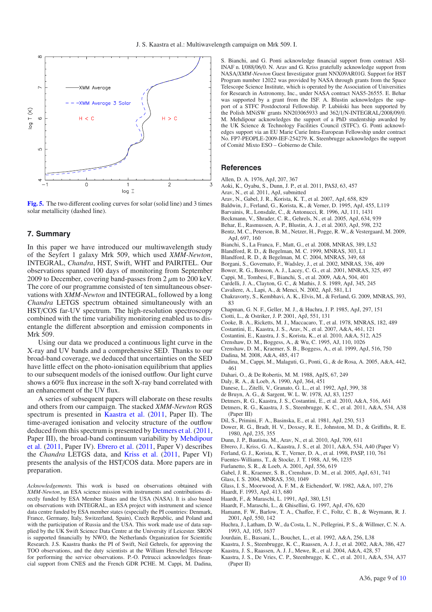<span id="page-8-50"></span>

**[Fig. 5.](http://dexter.edpsciences.org/applet.php?DOI=10.1051/0004-6361/201116869&pdf_id=5)** The two different cooling curves for solar (solid line) and 3 times solar metallicity (dashed line).

## **7. Summary**

In this paper we have introduced our multiwavelength study of the Seyfert 1 galaxy Mrk 509, which used *XMM-Newton*, INTEGRAL, *Chandra*, HST, Swift, WHT and PAIRITEL. Our observations spanned 100 days of monitoring from September 2009 to December, covering band-passes from  $2 \mu m$  to  $200 \text{ keV}$ . The core of our programme consisted of ten simultaneous observations with *XMM-Newton* and INTEGRAL, followed by a long *Chandra* LETGS spectrum obtained simultaneously with an HST/COS far-UV spectrum. The high-resolution spectroscopy combined with the time variability monitoring enabled us to disentangle the different absorption and emission components in Mrk 509.

Using our data we produced a continuous light curve in the X-ray and UV bands and a comprehensive SED. Thanks to our broad-band coverage, we deduced that uncertainties on the SED have little effect on the photo-ionisation equilibrium that applies to our subsequent models of the ionised outflow. Our light curve shows a 60% flux increase in the soft X-ray band correlated with an enhancement of the UV flux.

A series of subsequent papers will elaborate on these results and others from our campaign. The stacked *XMM-Newton* RGS spectrum is presented in [Kaastra et al.](#page-8-51) [\(2011](#page-8-51), Paper II). The time-averaged ionisation and velocity structure of the outflow deduced from this spectrum is presented by [Detmers et al.](#page-8-43) [\(2011](#page-8-43), Pape[r](#page-9-70) [III\),](#page-9-70) [the](#page-9-70) [broad-band](#page-9-70) [continuum](#page-9-70) [variability](#page-9-70) [by](#page-9-70) Mehdipour et al. [\(2011](#page-9-70), Paper IV). [Ebrero et al.](#page-8-52) [\(2011,](#page-8-52) Paper V) describes the *Chandra* LETGS data, and [Kriss et al.](#page-9-71) [\(2011](#page-9-71), Paper VI) presents the analysis of the HST/COS data. More papers are in preparation.

S. Bianchi, and G. Ponti acknowledge financial support from contract ASI-INAF n. I/088/06/0. N. Arav and G. Kriss gratefully acknowledge support from NASA/*XMM-Newton* Guest Investigator grant NNX09AR01G. Support for HST Program number 12022 was provided by NASA through grants from the Space Telescope Science Institute, which is operated by the Association of Universities for Research in Astronomy, Inc., under NASA contract NAS5-26555. E. Behar was supported by a grant from the ISF. A. Blustin acknowledges the support of a STFC Postdoctoral Fellowship. P. Lubinski has been supported by the Polish MNiSW grants NN203065933 and  $362/1/N$ -INTEGRAL $/2008/09/0$ . M. Mehdipour acknowledges the support of a PhD studentship awarded by the UK Science & Technology Facilities Council (STFC). G. Ponti acknowledges support via an EU Marie Curie Intra-European Fellowship under contract No. FP7-PEOPLE-2009-IEF-254279. K. Steenbrugge acknowledges the support of Comité Mixto ESO – Gobierno de Chile.

#### **References**

- Allen, D. A. 1976, ApJ, 207, 367
- <span id="page-8-34"></span>Aoki, K., Oyabu, S., Dunn, J. P., et al. 2011, PASJ, 63, 457
- <span id="page-8-19"></span><span id="page-8-17"></span><span id="page-8-16"></span>Arav, N., et al. 2011, ApJ, submitted
- Arav, N., Gabel, J. R., Korista, K. T., et al. 2007, ApJ, 658, 829
- <span id="page-8-20"></span>Baldwin, J., Ferland, G., Korista, K., & Verner, D. 1995, ApJ, 455, L119
- <span id="page-8-47"></span>Barvainis, R., Lonsdale, C., & Antonucci, R. 1996, AJ, 111, 1431
- <span id="page-8-26"></span><span id="page-8-12"></span>Beckmann, V., Shrader, C. R., Gehrels, N., et al. 2005, ApJ, 634, 939
- Behar, E., Rasmussen, A. P., Blustin, A. J., et al. 2003, ApJ, 598, 232
- <span id="page-8-45"></span>Bentz, M. C., Peterson, B. M., Netzer, H., Pogge, R. W., & Vestergaard, M. 2009, ApJ, 697, 160
- <span id="page-8-22"></span>Bianchi, S., La Franca, F., Matt, G., et al. 2008, MNRAS, 389, L52
- <span id="page-8-0"></span>Blandford, R. D., & Begelman, M. C. 1999, MNRAS, 303, L1
- <span id="page-8-1"></span>Blandford, R. D., & Begelman, M. C. 2004, MNRAS, 349, 68
- <span id="page-8-6"></span>Borgani, S., Governato, F., Wadsley, J., et al. 2002, MNRAS, 336, 409
- Bower, R. G., Benson, A. J., Lacey, C. G., et al. 2001, MNRAS, 325, 497
- <span id="page-8-24"></span><span id="page-8-4"></span>Cappi, M., Tombesi, F., Bianchi, S., et al. 2009, A&A, 504, 401
- <span id="page-8-44"></span>Cardelli, J. A., Clayton, G. C., & Mathis, J. S. 1989, ApJ, 345, 245
- <span id="page-8-3"></span>Cavaliere, A., Lapi, A., & Menci, N. 2002, ApJ, 581, L1
- <span id="page-8-49"></span>Chakravorty, S., Kembhavi, A. K., Elvis, M., & Ferland, G. 2009, MNRAS, 393, 83
- Chapman, G. N. F., Geller, M. J., & Huchra, J. P. 1985, ApJ, 297, 151
- <span id="page-8-41"></span>Ciotti, L., & Ostriker, J. P. 2001, ApJ, 551, 131
- <span id="page-8-39"></span><span id="page-8-5"></span>Cooke, B. A., Ricketts, M. J., Maccacaro, T., et al. 1978, MNRAS, 182, 489
- <span id="page-8-10"></span>Costantini, E., Kaastra, J. S., Arav, N., et al. 2007, A&A, 461, 121
- <span id="page-8-21"></span>Costantini, E., Kaastra, J. S., Korista, K., et al. 2010, A&A, 512, A25
- <span id="page-8-38"></span>Crenshaw, D. M., Boggess, A., & Wu, C. 1995, AJ, 110, 1026
- <span id="page-8-8"></span>Crenshaw, D. M., Kraemer, S. B., Boggess, A., et al. 1999, ApJ, 516, 750
- <span id="page-8-27"></span>Dadina, M. 2008, A&A, 485, 417
- <span id="page-8-23"></span>Dadina, M., Cappi, M., Malaguti, G., Ponti, G., & de Rosa, A. 2005, A&A, 442, 461
- <span id="page-8-32"></span>Dahari, O., & De Robertis, M. M. 1988, ApJS, 67, 249
- Daly, R. A., & Loeb, A. 1990, ApJ, 364, 451
- <span id="page-8-7"></span>Danese, L., Zitelli, V., Granato, G. L., et al. 1992, ApJ, 399, 38
- de Bruyn, A. G., & Sargent, W. L. W. 1978, AJ, 83, 1257
- <span id="page-8-46"></span>Detmers, R. G., Kaastra, J. S., Costantini, E., et al. 2010, A&A, 516, A61
- <span id="page-8-43"></span><span id="page-8-40"></span><span id="page-8-37"></span><span id="page-8-18"></span>Detmers, R. G., Kaastra, J. S., Steenbrugge, K. C., et al. 2011, A&A, 534, A38 (Paper III)
- Dil, S., Primini, F. A., Basinska, E., et al. 1981, ApJ, 250, 513
- <span id="page-8-42"></span>Dower, R. G., Bradt, H. V., Doxsey, R. E., Johnston, M. D., & Griffiths, R. E. 1980, ApJ, 235, 355
- Dunn, J. P., Bautista, M., Arav, N., et al. 2010, ApJ, 709, 611
- <span id="page-8-15"></span>Ebrero, J., Kriss, G. A., Kaastra, J. S., et al. 2011, A&A, 534, A40 (Paper V)
- Ferland, G. J., Korista, K. T., Verner, D. A., et al. 1998, PASP, 110, 761
- <span id="page-8-52"></span><span id="page-8-48"></span><span id="page-8-33"></span><span id="page-8-2"></span>Fuentes-Williams, T., & Stocke, J. T. 1988, AJ, 96, 1235
- <span id="page-8-13"></span>Furlanetto, S. R., & Loeb, A. 2001, ApJ, 556, 619
- Gabel, J. R., Kraemer, S. B., Crenshaw, D. M., et al. 2005, ApJ, 631, 741
- 
- Glass, I. S. 2004, MNRAS, 350, 1049
- <span id="page-8-36"></span><span id="page-8-35"></span><span id="page-8-29"></span>Glass, I. S., Moorwood, A. F. M., & Eichendorf, W. 1982, A&A, 107, 276
- Haardt, F. 1993, ApJ, 413, 680
- Haardt, F., & Maraschi, L. 1991, ApJ, 380, L51
- <span id="page-8-30"></span><span id="page-8-28"></span><span id="page-8-14"></span>Haardt, F., Maraschi, L., & Ghisellini, G. 1997, ApJ, 476, 620
- Hamann, F. W., Barlow, T. A., Chaffee, F. C., Foltz, C. B., & Weymann, R. J. 2001, ApJ, 550, 142
- <span id="page-8-31"></span>Huchra, J., Latham, D. W., da Costa, L. N., Pellegrini, P. S., & Willmer, C. N. A. 1993, AJ, 105, 1637
- Jourdain, E., Bassani, L., Bouchet, L., et al. 1992, A&A, 256, L38
- <span id="page-8-25"></span><span id="page-8-9"></span>Kaastra, J. S., Steenbrugge, K. C., Raassen, A. J. J., et al. 2002, A&A, 386, 427
- Kaastra, J. S., Raassen, A. J. J., Mewe, R., et al. 2004, A&A, 428, 57
- <span id="page-8-51"></span><span id="page-8-11"></span>Kaastra, J. S., De Vries, C. P., Steenbrugge, K. C., et al. 2011, A&A, 534, A37 (Paper II)

*Acknowledgements.* This work is based on observations obtained with *XMM-Newton*, an ESA science mission with instruments and contributions directly funded by ESA Member States and the USA (NASA). It is also based on observations with INTEGRAL, an ESA project with instrument and science data centre funded by ESA member states (especially the PI countries: Denmark, France, Germany, Italy, Switzerland, Spain), Czech Republic, and Poland and with the participation of Russia and the USA. This work made use of data supplied by the UK Swift Science Data Centre at the University if Leicester. SRON is supported financially by NWO, the Netherlands Organization for Scientific Research. J.S. Kaastra thanks the PI of Swift, Neil Gehrels, for approving the TOO observations, and the duty scientists at the William Herschel Telescope for performing the service observations. P.-O. Petrucci acknowledges financial support from CNES and the French GDR PCHE. M. Cappi, M. Dadina,